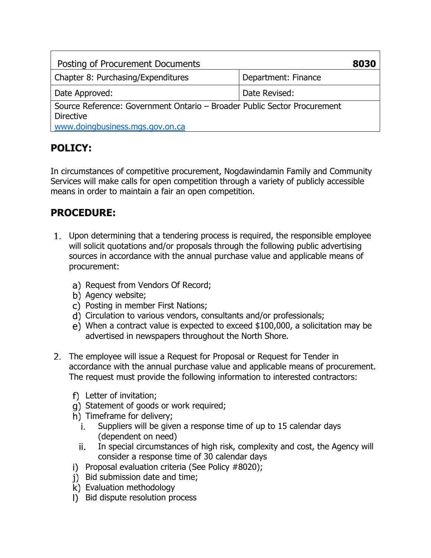| Posting of Procurement Documents                                                                                                |                     | 8030 |
|---------------------------------------------------------------------------------------------------------------------------------|---------------------|------|
| Chapter 8: Purchasing/Expenditures                                                                                              | Department: Finance |      |
| Date Approved:                                                                                                                  | Date Revised:       |      |
| Source Reference: Government Ontario – Broader Public Sector Procurement<br><b>Directive</b><br>www.doingbusiness.mgs.gov.on.ca |                     |      |

## **POLICY:**

In circumstances of competitive procurement, Nogdawindamin Family and Community Services will make calls for open competition through a variety of publicly accessible means in order to maintain a fair an open competition.

## **PROCEDURE:**

- 1. Upon determining that a tendering process is required, the responsible employee will solicit quotations and/or proposals through the following public advertising sources in accordance with the annual purchase value and applicable means of procurement:
	- a) Request from Vendors Of Record;
	- b) Agency website;
	- c) Posting in member First Nations;
	- d) Circulation to various vendors, consultants and/or professionals;
	- When a contract value is expected to exceed \$100,000, a solicitation may be advertised in newspapers throughout the North Shore.
- The employee will issue a Request for Proposal or Request for Tender in accordance with the annual purchase value and applicable means of procurement. The request must provide the following information to interested contractors:
	- Letter of invitation;
	- q) Statement of goods or work required;
	- h) Timeframe for delivery;
		- Suppliers will be given a response time of up to 15 calendar days i. (dependent on need)
		- In special circumstances of high risk, complexity and cost, the Agency will ii. consider a response time of 30 calendar days
	- $i)$  Proposal evaluation criteria (See Policy #8020);
	- i) Bid submission date and time;
	- k) Evaluation methodology
	- 1) Bid dispute resolution process